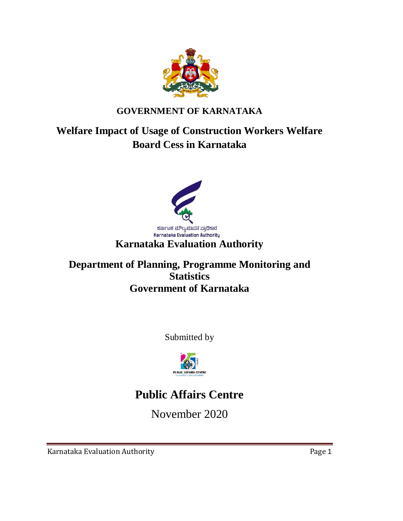

## **GOVERNMENT OF KARNATAKA**

**Welfare Impact of Usage of Construction Workers Welfare Board Cess in Karnataka**



## **Department of Planning, Programme Monitoring and Statistics Government of Karnataka**

Submitted by



## **Public Affairs Centre**

November 2020

Karnataka Evaluation Authority **Page 1** and the Page 1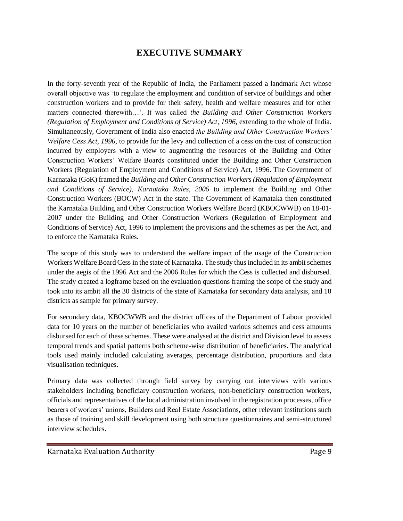## **EXECUTIVE SUMMARY**

In the forty-seventh year of the Republic of India, the Parliament passed a landmark Act whose overall objective was 'to regulate the employment and condition of service of buildings and other construction workers and to provide for their safety, health and welfare measures and for other matters connected therewith…'. It was called *the Building and Other Construction Workers (Regulation of Employment and Conditions of Service) Act, 1996,* extending to the whole of India. Simultaneously, Government of India also enacted *the Building and Other Construction Workers' Welfare Cess Act, 1996,* to provide for the levy and collection of a cess on the cost of construction incurred by employers with a view to augmenting the resources of the Building and Other Construction Workers' Welfare Boards constituted under the Building and Other Construction Workers (Regulation of Employment and Conditions of Service) Act, 1996. The Government of Karnataka (GoK) framed the *Building and Other Construction Workers (Regulation of Employment and Conditions of Service), Karnataka Rules, 2006* to implement the Building and Other Construction Workers (BOCW) Act in the state. The Government of Karnataka then constituted the Karnataka Building and Other Construction Workers Welfare Board (KBOCWWB) on 18-01- 2007 under the Building and Other Construction Workers (Regulation of Employment and Conditions of Service) Act, 1996 to implement the provisions and the schemes as per the Act, and to enforce the Karnataka Rules.

The scope of this study was to understand the welfare impact of the usage of the Construction Workers Welfare Board Cess in the state of Karnataka. The study thus included in its ambit schemes under the aegis of the 1996 Act and the 2006 Rules for which the Cess is collected and disbursed. The study created a logframe based on the evaluation questions framing the scope of the study and took into its ambit all the 30 districts of the state of Karnataka for secondary data analysis, and 10 districts as sample for primary survey.

For secondary data, KBOCWWB and the district offices of the Department of Labour provided data for 10 years on the number of beneficiaries who availed various schemes and cess amounts disbursed for each of these schemes. These were analysed at the district and Division level to assess temporal trends and spatial patterns both scheme-wise distribution of beneficiaries. The analytical tools used mainly included calculating averages, percentage distribution, proportions and data visualisation techniques.

Primary data was collected through field survey by carrying out interviews with various stakeholders including beneficiary construction workers, non-beneficiary construction workers, officials and representatives of the local administration involved in the registration processes, office bearers of workers' unions, Builders and Real Estate Associations, other relevant institutions such as those of training and skill development using both structure questionnaires and semi-structured interview schedules.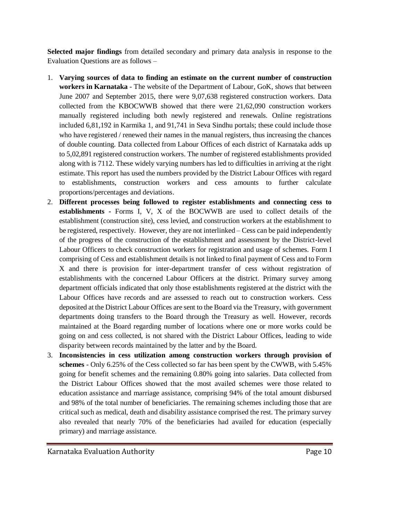**Selected major findings** from detailed secondary and primary data analysis in response to the Evaluation Questions are as follows –

- 1. **Varying sources of data to finding an estimate on the current number of construction workers in Karnataka** - The website of the Department of Labour, GoK, shows that between June 2007 and September 2015, there were 9,07,638 registered construction workers. Data collected from the KBOCWWB showed that there were 21,62,090 construction workers manually registered including both newly registered and renewals. Online registrations included 6,81,192 in Karmika 1, and 91,741 in Seva Sindhu portals; these could include those who have registered / renewed their names in the manual registers, thus increasing the chances of double counting. Data collected from Labour Offices of each district of Karnataka adds up to 5,02,891 registered construction workers. The number of registered establishments provided along with is 7112. These widely varying numbers has led to difficulties in arriving at the right estimate. This report has used the numbers provided by the District Labour Offices with regard to establishments, construction workers and cess amounts to further calculate proportions/percentages and deviations.
- 2. **Different processes being followed to register establishments and connecting cess to establishments -** Forms I, V, X of the BOCWWB are used to collect details of the establishment (construction site), cess levied, and construction workers at the establishment to be registered, respectively. However, they are not interlinked – Cess can be paid independently of the progress of the construction of the establishment and assessment by the District-level Labour Officers to check construction workers for registration and usage of schemes. Form I comprising of Cess and establishment details is not linked to final payment of Cess and to Form X and there is provision for inter-department transfer of cess without registration of establishments with the concerned Labour Officers at the district. Primary survey among department officials indicated that only those establishments registered at the district with the Labour Offices have records and are assessed to reach out to construction workers. Cess deposited at the District Labour Offices are sent to the Board via the Treasury, with government departments doing transfers to the Board through the Treasury as well. However, records maintained at the Board regarding number of locations where one or more works could be going on and cess collected, is not shared with the District Labour Offices, leading to wide disparity between records maintained by the latter and by the Board.
- 3. **Inconsistencies in cess utilization among construction workers through provision of schemes** - Only 6.25% of the Cess collected so far has been spent by the CWWB, with 5.45% going for benefit schemes and the remaining 0.80% going into salaries. Data collected from the District Labour Offices showed that the most availed schemes were those related to education assistance and marriage assistance, comprising 94% of the total amount disbursed and 98% of the total number of beneficiaries. The remaining schemes including those that are critical such as medical, death and disability assistance comprised the rest. The primary survey also revealed that nearly 70% of the beneficiaries had availed for education (especially primary) and marriage assistance.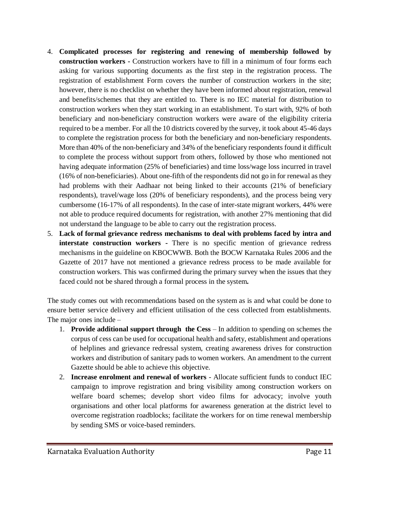- 4. **Complicated processes for registering and renewing of membership followed by construction workers -** Construction workers have to fill in a minimum of four forms each asking for various supporting documents as the first step in the registration process. The registration of establishment Form covers the number of construction workers in the site; however, there is no checklist on whether they have been informed about registration, renewal and benefits/schemes that they are entitled to. There is no IEC material for distribution to construction workers when they start working in an establishment. To start with, 92% of both beneficiary and non-beneficiary construction workers were aware of the eligibility criteria required to be a member. For all the 10 districts covered by the survey, it took about 45-46 days to complete the registration process for both the beneficiary and non-beneficiary respondents. More than 40% of the non-beneficiary and 34% of the beneficiary respondents found it difficult to complete the process without support from others, followed by those who mentioned not having adequate information (25% of beneficiaries) and time loss/wage loss incurred in travel (16% of non-beneficiaries). About one-fifth of the respondents did not go in for renewal as they had problems with their Aadhaar not being linked to their accounts (21% of beneficiary respondents), travel/wage loss (20% of beneficiary respondents), and the process being very cumbersome (16-17% of all respondents). In the case of inter-state migrant workers, 44% were not able to produce required documents for registration, with another 27% mentioning that did not understand the language to be able to carry out the registration process.
- 5. **Lack of formal grievance redress mechanisms to deal with problems faced by intra and interstate construction workers -** There is no specific mention of grievance redress mechanisms in the guideline on KBOCWWB. Both the BOCW Karnataka Rules 2006 and the Gazette of 2017 have not mentioned a grievance redress process to be made available for construction workers. This was confirmed during the primary survey when the issues that they faced could not be shared through a formal process in the system**.**

The study comes out with recommendations based on the system as is and what could be done to ensure better service delivery and efficient utilisation of the cess collected from establishments. The major ones include –

- 1. **Provide additional support through the Cess** In addition to spending on schemes the corpus of cess can be used for occupational health and safety, establishment and operations of helplines and grievance redressal system, creating awareness drives for construction workers and distribution of sanitary pads to women workers. An amendment to the current Gazette should be able to achieve this objective.
- 2. **Increase enrolment and renewal of workers** Allocate sufficient funds to conduct IEC campaign to improve registration and bring visibility among construction workers on welfare board schemes; develop short video films for advocacy; involve youth organisations and other local platforms for awareness generation at the district level to overcome registration roadblocks; facilitate the workers for on time renewal membership by sending SMS or voice-based reminders.